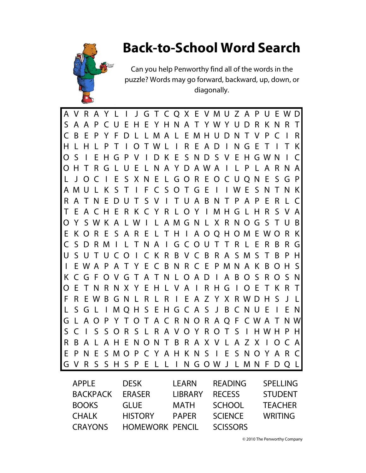## **Back-to-School Word Search**



Can you help Penworthy find all of the words in the puzzle? Words may go forward, backward, up, down, or diagonally.

A V R A Y L I J G T C Q X E VMU Z A P U EWD S AA P CU E H E YHNA T YWY UDR KNR T C B E P Y F D L LMA L EMHUDN T V P C I R H L H L P T I OTWL I R E AD I NGE T I T K O S I E H G P V I D K E S ND S V E H GWN I C OH T R G L U E L NA Y DAWA I L P L A R NA L J OC I E S XNE L GOR EOCUQNE SGP AMU L K S T I F C S O T G E I I WE S N T N K RATNEDUT S V I TUABNT PAP E R L C T E A C H E R K C Y R L O Y I MHG L H R S V A O Y SWK A LW I L AMGN L X R NOG S T U B E K O R E S A R E L T H I A OQHOM E WO R K C SDRM I L TNA I GCOUT T R L E R B RG USUTUCO I CK R BVCB RASMS T B PH I EWA P A T Y E C B N R C E PMNA K B OH S KCGFOVGTATNLOAD I ABOS ROSN OE TNRNXY EHL VA I RHG I OE T KR T F R EWB G N L R L R I E A Z Y X RWDH S J L L S G L I MQH S E HG C A S J B C NU E I E N G L AO P Y T O T A C R NO R AQ F CWA T NW S C I S S O R S L R A V O Y R O T S I HWH P H R BA L AHENONT B RAX V L AZ X I OCA E P N E SMO P C Y A H K N S I E S NO Y A R C G V R S S H S P E L L I N GOW J L MN F DQ L APPLE DESK LEARN READING SPELLING

| BACKPACK | ERASER                 | LIBRARY      | <b>RECESS</b>   | <b>STUDENT</b> |
|----------|------------------------|--------------|-----------------|----------------|
| BOOKS    | <b>GLUE</b>            | MATH         | <b>SCHOOL</b>   | <b>TEACHER</b> |
| CHALK    | <b>HISTORY</b>         | <b>PAPER</b> | <b>SCIENCE</b>  | <b>WRITING</b> |
| CRAYONS  | <b>HOMEWORK PENCIL</b> |              | <b>SCISSORS</b> |                |

© 2010 The Penworthy Company